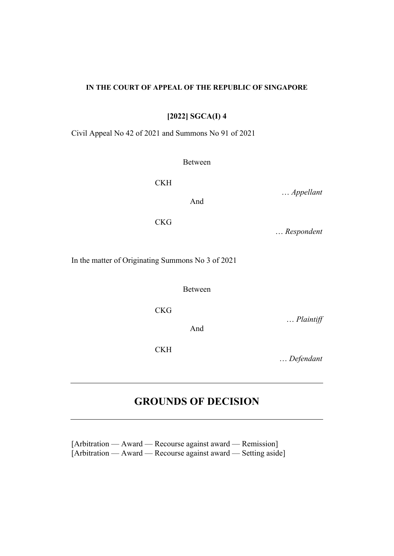#### **IN THE COURT OF APPEAL OF THE REPUBLIC OF SINGAPORE**

**[2022] SGCA(I) 4**

Civil Appeal No 42 of 2021 and Summons No 91 of 2021

Between

**CKH** 

… *Appellant*

**CKG** 

… *Respondent*

In the matter of Originating Summons No 3 of 2021

Between

CKG

And

CKH

… *Defendant*

… *Plaintiff* 

## **GROUNDS OF DECISION**

[Arbitration — Award — Recourse against award — Remission] [Arbitration — Award — Recourse against award — Setting aside]

And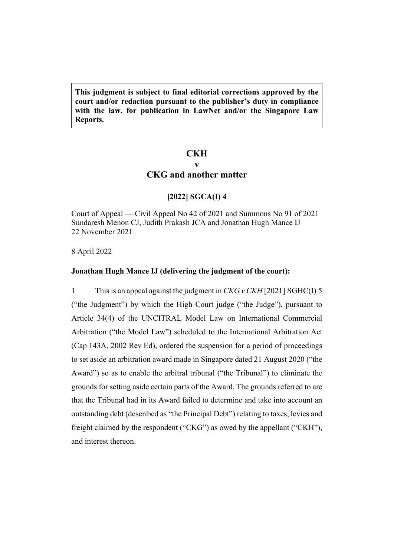**This judgment is subject to final editorial corrections approved by the court and/or redaction pursuant to the publisher's duty in compliance with the law, for publication in LawNet and/or the Singapore Law Reports.**

## **CKH**

# **v**

### **CKG and another matter**

### **[2022] SGCA(I) 4**

Court of Appeal — Civil Appeal No 42 of 2021 and Summons No 91 of 2021 Sundaresh Menon CJ, Judith Prakash JCA and Jonathan Hugh Mance IJ 22 November 2021

### 8 April 2022

### **Jonathan Hugh Mance IJ (delivering the judgment of the court):**

1 This is an appeal against the judgment in *CKG v CKH* [2021] SGHC(I) 5 ("the Judgment") by which the High Court judge ("the Judge"), pursuant to Article 34(4) of the UNCITRAL Model Law on International Commercial Arbitration ("the Model Law") scheduled to the International Arbitration Act (Cap 143A, 2002 Rev Ed), ordered the suspension for a period of proceedings to set aside an arbitration award made in Singapore dated 21 August 2020 ("the Award") so as to enable the arbitral tribunal ("the Tribunal") to eliminate the grounds for setting aside certain parts of the Award. The grounds referred to are that the Tribunal had in its Award failed to determine and take into account an outstanding debt (described as "the Principal Debt") relating to taxes, levies and freight claimed by the respondent ("CKG") as owed by the appellant ("CKH"), and interest thereon.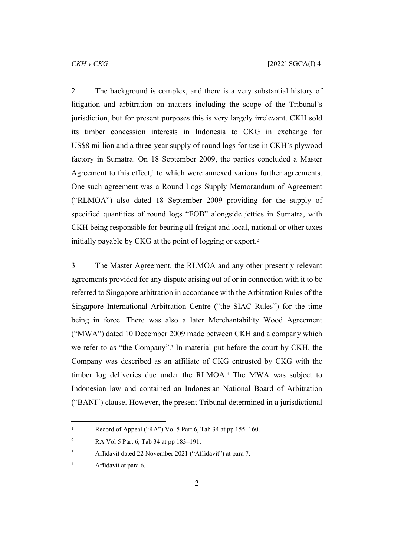<span id="page-2-0"></span>2 The background is complex, and there is a very substantial history of litigation and arbitration on matters including the scope of the Tribunal's jurisdiction, but for present purposes this is very largely irrelevant. CKH sold its timber concession interests in Indonesia to CKG in exchange for US\$8 million and a three-year supply of round logs for use in CKH's plywood factory in Sumatra. On 18 September 2009, the parties concluded a Master Agreement to this effect, $<sup>1</sup>$  to which were annexed various further agreements.</sup> One such agreement was a Round Logs Supply Memorandum of Agreement ("RLMOA") also dated 18 September 2009 providing for the supply of specified quantities of round logs "FOB" alongside jetties in Sumatra, with CKH being responsible for bearing all freight and local, national or other taxes initially payable by CKG at the point of logging or export.<sup>2</sup>

3 The Master Agreement, the RLMOA and any other presently relevant agreements provided for any dispute arising out of or in connection with it to be referred to Singapore arbitration in accordance with the Arbitration Rules of the Singapore International Arbitration Centre ("the SIAC Rules") for the time being in force. There was also a later Merchantability Wood Agreement ("MWA") dated 10 December 2009 made between CKH and a company which we refer to as "the Company".<sup>3</sup> In material put before the court by CKH, the Company was described as an affiliate of CKG entrusted by CKG with the timber log deliveries due under the RLMOA.<sup>4</sup> The MWA was subject to Indonesian law and contained an Indonesian National Board of Arbitration ("BANI") clause. However, the present Tribunal determined in a jurisdictional

<sup>1</sup> Record of Appeal ("RA") Vol 5 Part 6, Tab 34 at pp 155–160.

<sup>2</sup> RA Vol 5 Part 6, Tab 34 at pp 183–191.

<sup>3</sup> Affidavit dated 22 November 2021 ("Affidavit") at para 7.

<sup>4</sup> Affidavit at para 6.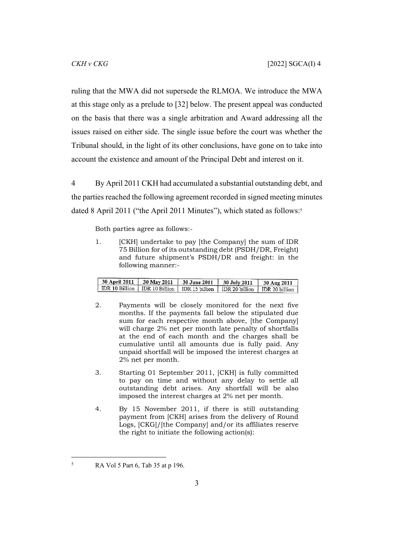ruling that the MWA did not supersede the RLMOA. We introduce the MWA at this stage only as a prelude to [[32\]](#page-17-0) below. The present appeal was conducted on the basis that there was a single arbitration and Award addressing all the issues raised on either side. The single issue before the court was whether the Tribunal should, in the light of its other conclusions, have gone on to take into account the existence and amount of the Principal Debt and interest on it.

4 By April 2011 CKH had accumulated a substantial outstanding debt, and the parties reached the following agreement recorded in signed meeting minutes dated 8 April 2011 ("the April 2011 Minutes"), which stated as follows:<sup>5</sup>

Both parties agree as follows:-

1. [CKH] undertake to pay [the Company] the sum of IDR 75 Billion for of its outstanding debt (PSDH/DR, Freight) and future shipment's PSDH/DR and freight: in the following manner:-

| <b>30 April 2011</b>                        | 30 May 2011 | <b>30 June 2011</b> | 30 July 2011                           | 30 Aug 2011                 |
|---------------------------------------------|-------------|---------------------|----------------------------------------|-----------------------------|
| $\mid$ IDR 10 Billion $\mid$ IDR 10 Billion |             |                     | <b>IDR</b> 15 billion   IDR 20 billion | <sup>1</sup> IDR 20 billion |

- 2. Payments will be closely monitored for the next five months. If the payments fall below the stipulated due sum for each respective month above, [the Company] will charge 2% net per month late penalty of shortfalls at the end of each month and the charges shall be cumulative until all amounts due is fully paid. Any unpaid shortfall will be imposed the interest charges at 2% net per month.
- 3. Starting 01 September 2011, [CKH] is fully committed to pay on time and without any delay to settle all outstanding debt arises. Any shortfall will be also imposed the interest charges at 2% net per month.
- 4. By 15 November 2011, if there is still outstanding payment from [CKH] arises from the delivery of Round Logs, [CKG]/[the Company] and/or its affiliates reserve the right to initiate the following action(s):

5

RA Vol 5 Part 6, Tab 35 at p 196.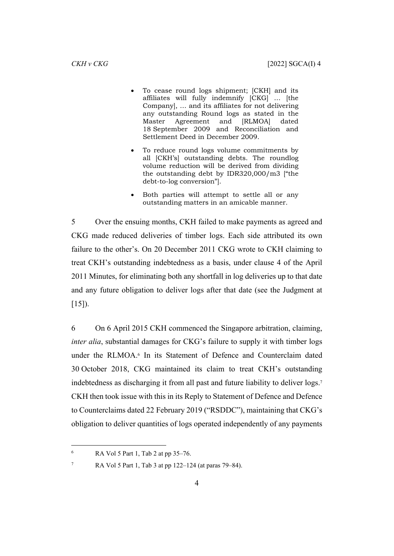- To cease round logs shipment; [CKH] and its affiliates will fully indemnify [CKG] … [the Company], … and its affiliates for not delivering any outstanding Round logs as stated in the Master Agreement and [RLMOA] dated 18 September 2009 and Reconciliation and Settlement Deed in December 2009.
- To reduce round logs volume commitments by all [CKH's] outstanding debts. The roundlog volume reduction will be derived from dividing the outstanding debt by IDR320,000/m3 ["the debt-to-log conversion"].
- Both parties will attempt to settle all or any outstanding matters in an amicable manner.

5 Over the ensuing months, CKH failed to make payments as agreed and CKG made reduced deliveries of timber logs. Each side attributed its own failure to the other's. On 20 December 2011 CKG wrote to CKH claiming to treat CKH's outstanding indebtedness as a basis, under clause 4 of the April 2011 Minutes, for eliminating both any shortfall in log deliveries up to that date and any future obligation to deliver logs after that date (see the Judgment at  $[15]$ ).

6 On 6 April 2015 CKH commenced the Singapore arbitration, claiming, *inter alia*, substantial damages for CKG's failure to supply it with timber logs under the RLMOA.<sup>6</sup> In its Statement of Defence and Counterclaim dated 30 October 2018, CKG maintained its claim to treat CKH's outstanding indebtedness as discharging it from all past and future liability to deliver logs.<sup>7</sup> CKH then took issue with this in its Reply to Statement of Defence and Defence to Counterclaims dated 22 February 2019 ("RSDDC"), maintaining that CKG's obligation to deliver quantities of logs operated independently of any payments

<sup>6</sup> RA Vol 5 Part 1, Tab 2 at pp 35–76.

<sup>7</sup> RA Vol 5 Part 1, Tab 3 at pp 122–124 (at paras 79–84).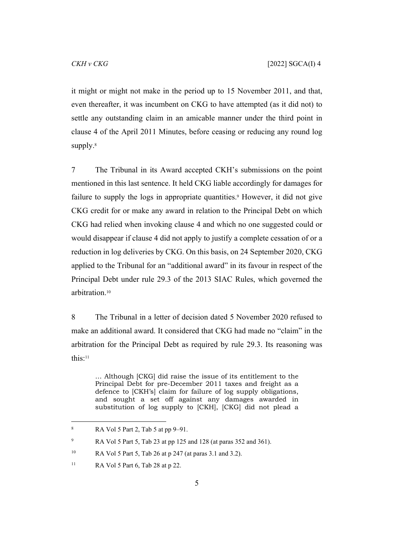it might or might not make in the period up to 15 November 2011, and that, even thereafter, it was incumbent on CKG to have attempted (as it did not) to settle any outstanding claim in an amicable manner under the third point in clause 4 of the April 2011 Minutes, before ceasing or reducing any round log supply.<sup>8</sup>

7 The Tribunal in its Award accepted CKH's submissions on the point mentioned in this last sentence. It held CKG liable accordingly for damages for failure to supply the logs in appropriate quantities.<sup>9</sup> However, it did not give CKG credit for or make any award in relation to the Principal Debt on which CKG had relied when invoking clause 4 and which no one suggested could or would disappear if clause 4 did not apply to justify a complete cessation of or a reduction in log deliveries by CKG. On this basis, on 24 September 2020, CKG applied to the Tribunal for an "additional award" in its favour in respect of the Principal Debt under rule 29.3 of the 2013 SIAC Rules, which governed the arbitration.<sup>10</sup>

<span id="page-5-0"></span>8 The Tribunal in a letter of decision dated 5 November 2020 refused to make an additional award. It considered that CKG had made no "claim" in the arbitration for the Principal Debt as required by rule 29.3. Its reasoning was this:<sup>11</sup>

… Although [CKG] did raise the issue of its entitlement to the Principal Debt for pre-December 2011 taxes and freight as a defence to [CKH's] claim for failure of log supply obligations, and sought a set off against any damages awarded in substitution of log supply to [CKH], [CKG] did not plead a

<sup>8</sup> RA Vol 5 Part 2, Tab 5 at pp 9–91.

<sup>9</sup> RA Vol 5 Part 5, Tab 23 at pp 125 and 128 (at paras 352 and 361).

<sup>10</sup> RA Vol 5 Part 5, Tab 26 at p 247 (at paras 3.1 and 3.2).

<sup>&</sup>lt;sup>11</sup> RA Vol 5 Part 6, Tab 28 at p 22.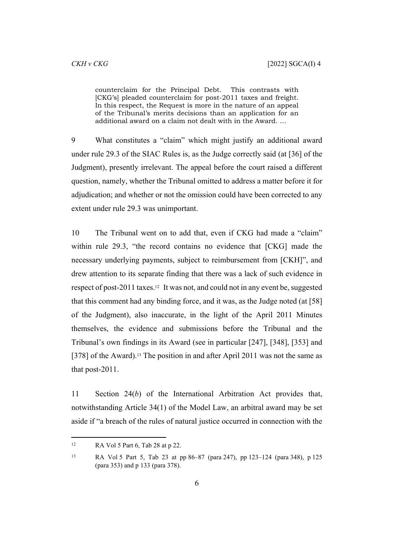counterclaim for the Principal Debt. This contrasts with [CKG's] pleaded counterclaim for post-2011 taxes and freight. In this respect, the Request is more in the nature of an appeal of the Tribunal's merits decisions than an application for an additional award on a claim not dealt with in the Award. …

9 What constitutes a "claim" which might justify an additional award under rule 29.3 of the SIAC Rules is, as the Judge correctly said (at [36] of the Judgment), presently irrelevant. The appeal before the court raised a different question, namely, whether the Tribunal omitted to address a matter before it for adjudication; and whether or not the omission could have been corrected to any extent under rule 29.3 was unimportant.

10 The Tribunal went on to add that, even if CKG had made a "claim" within rule 29.3, "the record contains no evidence that [CKG] made the necessary underlying payments, subject to reimbursement from [CKH]", and drew attention to its separate finding that there was a lack of such evidence in respect of post-2011 taxes.12 It was not, and could not in any event be, suggested that this comment had any binding force, and it was, as the Judge noted (at [58] of the Judgment), also inaccurate, in the light of the April 2011 Minutes themselves, the evidence and submissions before the Tribunal and the Tribunal's own findings in its Award (see in particular [247], [348], [353] and [378] of the Award).<sup>13</sup> The position in and after April 2011 was not the same as that post-2011.

11 Section 24(*b*) of the International Arbitration Act provides that, notwithstanding Article 34(1) of the Model Law, an arbitral award may be set aside if "a breach of the rules of natural justice occurred in connection with the

 $R_A$  Vol 5 Part 6, Tab 28 at p 22.

<sup>13</sup> RA Vol 5 Part 5, Tab 23 at pp 86–87 (para 247), pp 123–124 (para 348), p 125 (para 353) and p 133 (para 378).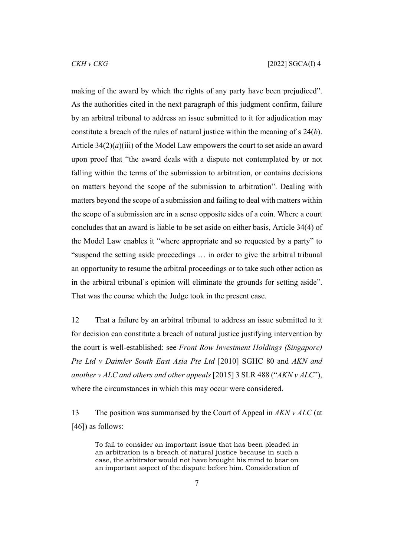making of the award by which the rights of any party have been prejudiced". As the authorities cited in the next paragraph of this judgment confirm, failure by an arbitral tribunal to address an issue submitted to it for adjudication may constitute a breach of the rules of natural justice within the meaning of s 24(*b*). Article  $34(2)(a)(iii)$  of the Model Law empowers the court to set aside an award upon proof that "the award deals with a dispute not contemplated by or not falling within the terms of the submission to arbitration, or contains decisions on matters beyond the scope of the submission to arbitration". Dealing with matters beyond the scope of a submission and failing to deal with matters within the scope of a submission are in a sense opposite sides of a coin. Where a court concludes that an award is liable to be set aside on either basis, Article 34(4) of the Model Law enables it "where appropriate and so requested by a party" to "suspend the setting aside proceedings … in order to give the arbitral tribunal an opportunity to resume the arbitral proceedings or to take such other action as in the arbitral tribunal's opinion will eliminate the grounds for setting aside". That was the course which the Judge took in the present case.

12 That a failure by an arbitral tribunal to address an issue submitted to it for decision can constitute a breach of natural justice justifying intervention by the court is well-established: see *Front Row Investment Holdings (Singapore) Pte Ltd v Daimler South East Asia Pte Ltd* [2010] SGHC 80 and *AKN and another v ALC and others and other appeals* [2015] 3 SLR 488 ("*AKN v ALC*"), where the circumstances in which this may occur were considered.

13 The position was summarised by the Court of Appeal in *AKN v ALC* (at [46]) as follows:

To fail to consider an important issue that has been pleaded in an arbitration is a breach of natural justice because in such a case, the arbitrator would not have brought his mind to bear on an important aspect of the dispute before him. Consideration of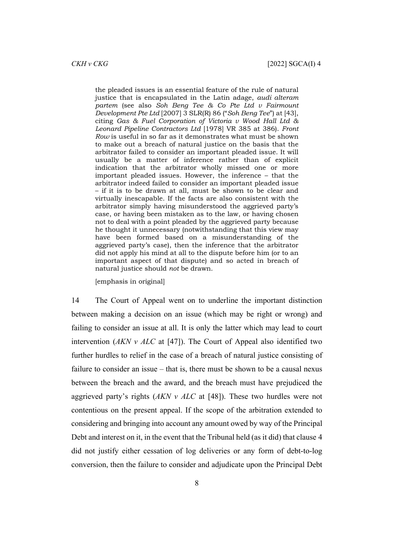the pleaded issues is an essential feature of the rule of natural justice that is encapsulated in the Latin adage, *audi alteram partem* (see also *Soh Beng Tee & Co Pte Ltd v Fairmount Development Pte Ltd* [2007] 3 SLR(R) 86 ("*Soh Beng Tee*") at [43], citing *Gas & Fuel Corporation of Victoria v Wood Hall Ltd & Leonard Pipeline Contractors Ltd* [1978] VR 385 at 386). *Front Row* is useful in so far as it demonstrates what must be shown to make out a breach of natural justice on the basis that the arbitrator failed to consider an important pleaded issue. It will usually be a matter of inference rather than of explicit indication that the arbitrator wholly missed one or more important pleaded issues. However, the inference – that the arbitrator indeed failed to consider an important pleaded issue – if it is to be drawn at all, must be shown to be clear and virtually inescapable. If the facts are also consistent with the arbitrator simply having misunderstood the aggrieved party's case, or having been mistaken as to the law, or having chosen not to deal with a point pleaded by the aggrieved party because he thought it unnecessary (notwithstanding that this view may have been formed based on a misunderstanding of the aggrieved party's case), then the inference that the arbitrator did not apply his mind at all to the dispute before him (or to an important aspect of that dispute) and so acted in breach of natural justice should *not* be drawn.

[emphasis in original]

14 The Court of Appeal went on to underline the important distinction between making a decision on an issue (which may be right or wrong) and failing to consider an issue at all. It is only the latter which may lead to court intervention (*AKN v ALC* at [47]). The Court of Appeal also identified two further hurdles to relief in the case of a breach of natural justice consisting of failure to consider an issue – that is, there must be shown to be a causal nexus between the breach and the award, and the breach must have prejudiced the aggrieved party's rights (*AKN v ALC* at [48]). These two hurdles were not contentious on the present appeal. If the scope of the arbitration extended to considering and bringing into account any amount owed by way of the Principal Debt and interest on it, in the event that the Tribunal held (as it did) that clause 4 did not justify either cessation of log deliveries or any form of debt-to-log conversion, then the failure to consider and adjudicate upon the Principal Debt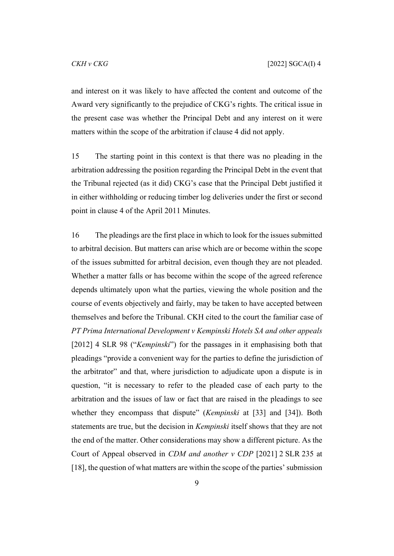and interest on it was likely to have affected the content and outcome of the Award very significantly to the prejudice of CKG's rights. The critical issue in the present case was whether the Principal Debt and any interest on it were matters within the scope of the arbitration if clause 4 did not apply.

15 The starting point in this context is that there was no pleading in the arbitration addressing the position regarding the Principal Debt in the event that the Tribunal rejected (as it did) CKG's case that the Principal Debt justified it in either withholding or reducing timber log deliveries under the first or second point in clause 4 of the April 2011 Minutes.

16 The pleadings are the first place in which to look for the issues submitted to arbitral decision. But matters can arise which are or become within the scope of the issues submitted for arbitral decision, even though they are not pleaded. Whether a matter falls or has become within the scope of the agreed reference depends ultimately upon what the parties, viewing the whole position and the course of events objectively and fairly, may be taken to have accepted between themselves and before the Tribunal. CKH cited to the court the familiar case of *PT Prima International Development v Kempinski Hotels SA and other appeals* [2012] 4 SLR 98 ("*Kempinski*") for the passages in it emphasising both that pleadings "provide a convenient way for the parties to define the jurisdiction of the arbitrator" and that, where jurisdiction to adjudicate upon a dispute is in question, "it is necessary to refer to the pleaded case of each party to the arbitration and the issues of law or fact that are raised in the pleadings to see whether they encompass that dispute" (*Kempinski* at [33] and [34]). Both statements are true, but the decision in *Kempinski* itself shows that they are not the end of the matter. Other considerations may show a different picture. As the Court of Appeal observed in *CDM and another v CDP* [2021] 2 SLR 235 at [18], the question of what matters are within the scope of the parties' submission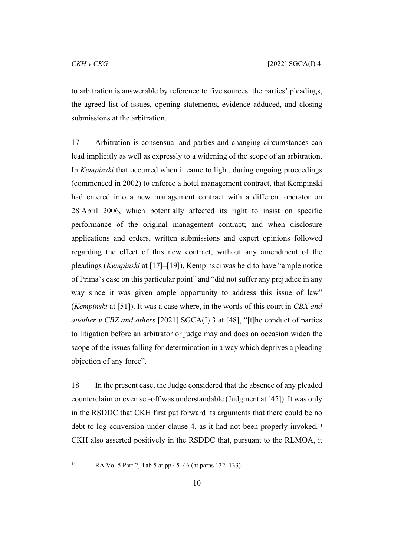to arbitration is answerable by reference to five sources: the parties' pleadings, the agreed list of issues, opening statements, evidence adduced, and closing submissions at the arbitration.

17 Arbitration is consensual and parties and changing circumstances can lead implicitly as well as expressly to a widening of the scope of an arbitration. In *Kempinski* that occurred when it came to light, during ongoing proceedings (commenced in 2002) to enforce a hotel management contract, that Kempinski had entered into a new management contract with a different operator on 28 April 2006, which potentially affected its right to insist on specific performance of the original management contract; and when disclosure applications and orders, written submissions and expert opinions followed regarding the effect of this new contract, without any amendment of the pleadings (*Kempinski* at [17]–[19]), Kempinski was held to have "ample notice of Prima's case on this particular point" and "did not suffer any prejudice in any way since it was given ample opportunity to address this issue of law" (*Kempinski* at [51]). It was a case where, in the words of this court in *CBX and another v CBZ and others* [2021] SGCA(I) 3 at [48], "[t]he conduct of parties to litigation before an arbitrator or judge may and does on occasion widen the scope of the issues falling for determination in a way which deprives a pleading objection of any force".

18 In the present case, the Judge considered that the absence of any pleaded counterclaim or even set-off was understandable (Judgment at [45]). It was only in the RSDDC that CKH first put forward its arguments that there could be no debt-to-log conversion under clause 4, as it had not been properly invoked.<sup>14</sup> CKH also asserted positively in the RSDDC that, pursuant to the RLMOA, it

<sup>14</sup> RA Vol 5 Part 2, Tab 5 at pp 45–46 (at paras 132–133).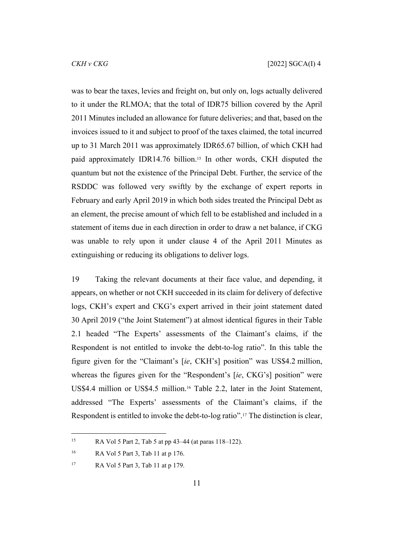was to bear the taxes, levies and freight on, but only on, logs actually delivered to it under the RLMOA; that the total of IDR75 billion covered by the April 2011 Minutes included an allowance for future deliveries; and that, based on the invoices issued to it and subject to proof of the taxes claimed, the total incurred up to 31 March 2011 was approximately IDR65.67 billion, of which CKH had paid approximately IDR14.76 billion.15 In other words, CKH disputed the quantum but not the existence of the Principal Debt. Further, the service of the RSDDC was followed very swiftly by the exchange of expert reports in February and early April 2019 in which both sides treated the Principal Debt as an element, the precise amount of which fell to be established and included in a statement of items due in each direction in order to draw a net balance, if CKG was unable to rely upon it under clause 4 of the April 2011 Minutes as extinguishing or reducing its obligations to deliver logs.

19 Taking the relevant documents at their face value, and depending, it appears, on whether or not CKH succeeded in its claim for delivery of defective logs, CKH's expert and CKG's expert arrived in their joint statement dated 30 April 2019 ("the Joint Statement") at almost identical figures in their Table 2.1 headed "The Experts' assessments of the Claimant's claims, if the Respondent is not entitled to invoke the debt-to-log ratio". In this table the figure given for the "Claimant's [*ie*, CKH's] position" was US\$4.2 million, whereas the figures given for the "Respondent's [*ie*, CKG's] position" were US\$4.4 million or US\$4.5 million.16 Table 2.2, later in the Joint Statement, addressed "The Experts' assessments of the Claimant's claims, if the Respondent is entitled to invoke the debt-to-log ratio".17 The distinction is clear,

<sup>15</sup> RA Vol 5 Part 2, Tab 5 at pp 43–44 (at paras 118–122).

<sup>16</sup> RA Vol 5 Part 3, Tab 11 at p 176.

<sup>17</sup> RA Vol 5 Part 3, Tab 11 at p 179.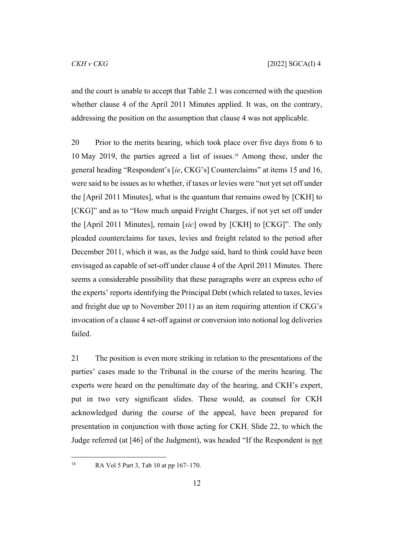and the court is unable to accept that Table 2.1 was concerned with the question whether clause 4 of the April 2011 Minutes applied. It was, on the contrary, addressing the position on the assumption that clause 4 was not applicable.

20 Prior to the merits hearing, which took place over five days from 6 to 10 May 2019, the parties agreed a list of issues.18 Among these, under the general heading "Respondent's [*ie*, CKG's] Counterclaims" at items 15 and 16, were said to be issues as to whether, if taxes or levies were "not yet set off under the [April 2011 Minutes], what is the quantum that remains owed by [CKH] to [CKG]" and as to "How much unpaid Freight Charges, if not yet set off under the [April 2011 Minutes], remain [*sic*] owed by [CKH] to [CKG]". The only pleaded counterclaims for taxes, levies and freight related to the period after December 2011, which it was, as the Judge said, hard to think could have been envisaged as capable of set-off under clause 4 of the April 2011 Minutes. There seems a considerable possibility that these paragraphs were an express echo of the experts' reports identifying the Principal Debt (which related to taxes, levies and freight due up to November 2011) as an item requiring attention if CKG's invocation of a clause 4 set-off against or conversion into notional log deliveries failed.

<span id="page-12-0"></span>21 The position is even more striking in relation to the presentations of the parties' cases made to the Tribunal in the course of the merits hearing. The experts were heard on the penultimate day of the hearing, and CKH's expert, put in two very significant slides. These would, as counsel for CKH acknowledged during the course of the appeal, have been prepared for presentation in conjunction with those acting for CKH. Slide 22, to which the Judge referred (at [46] of the Judgment), was headed "If the Respondent is not

18 RA Vol 5 Part 3, Tab 10 at pp 167–170.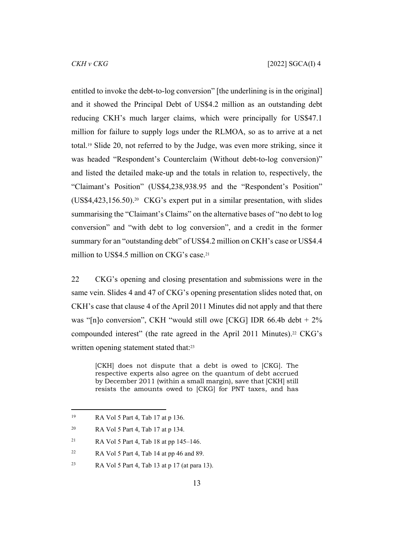entitled to invoke the debt-to-log conversion" [the underlining is in the original] and it showed the Principal Debt of US\$4.2 million as an outstanding debt reducing CKH's much larger claims, which were principally for US\$47.1 million for failure to supply logs under the RLMOA, so as to arrive at a net total.19 Slide 20, not referred to by the Judge, was even more striking, since it was headed "Respondent's Counterclaim (Without debt-to-log conversion)" and listed the detailed make-up and the totals in relation to, respectively, the "Claimant's Position" (US\$4,238,938.95 and the "Respondent's Position" (US\$4,423,156.50).20 CKG's expert put in a similar presentation, with slides summarising the "Claimant's Claims" on the alternative bases of "no debt to log conversion" and "with debt to log conversion", and a credit in the former summary for an "outstanding debt" of US\$4.2 million on CKH's case or US\$4.4 million to US\$4.5 million on CKG's case.<sup>21</sup>

22 CKG's opening and closing presentation and submissions were in the same vein. Slides 4 and 47 of CKG's opening presentation slides noted that, on CKH's case that clause 4 of the April 2011 Minutes did not apply and that there was "[n]o conversion", CKH "would still owe [CKG] IDR 66.4b debt + 2% compounded interest" (the rate agreed in the April 2011 Minutes).22 CKG's written opening statement stated that:<sup>23</sup>

[CKH] does not dispute that a debt is owed to [CKG]. The respective experts also agree on the quantum of debt accrued by December 2011 (within a small margin), save that [CKH] still resists the amounts owed to [CKG] for PNT taxes, and has

<sup>19</sup> RA Vol 5 Part 4, Tab 17 at p 136.

<sup>20</sup> RA Vol 5 Part 4, Tab 17 at p 134.

<sup>21</sup> RA Vol 5 Part 4, Tab 18 at pp 145–146.

 $22$  RA Vol 5 Part 4, Tab 14 at pp 46 and 89.

 $R_A$  Vol 5 Part 4, Tab 13 at p 17 (at para 13).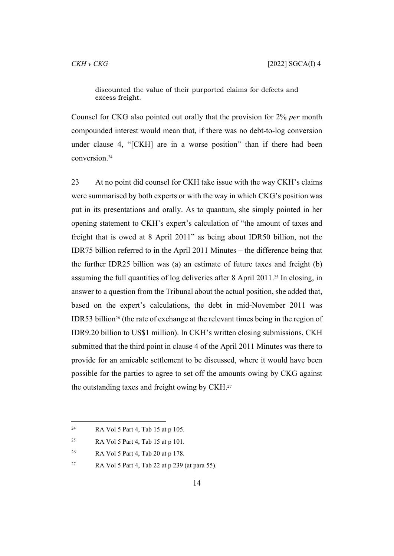discounted the value of their purported claims for defects and excess freight.

Counsel for CKG also pointed out orally that the provision for 2% *per* month compounded interest would mean that, if there was no debt-to-log conversion under clause 4, "[CKH] are in a worse position" than if there had been conversion.<sup>24</sup>

23 At no point did counsel for CKH take issue with the way CKH's claims were summarised by both experts or with the way in which CKG's position was put in its presentations and orally. As to quantum, she simply pointed in her opening statement to CKH's expert's calculation of "the amount of taxes and freight that is owed at 8 April 2011" as being about IDR50 billion, not the IDR75 billion referred to in the April 2011 Minutes – the difference being that the further IDR25 billion was (a) an estimate of future taxes and freight (b) assuming the full quantities of log deliveries after 8 April 2011.25 In closing, in answer to a question from the Tribunal about the actual position, she added that, based on the expert's calculations, the debt in mid-November 2011 was IDR53 billion26 (the rate of exchange at the relevant times being in the region of IDR9.20 billion to US\$1 million). In CKH's written closing submissions, CKH submitted that the third point in clause 4 of the April 2011 Minutes was there to provide for an amicable settlement to be discussed, where it would have been possible for the parties to agree to set off the amounts owing by CKG against the outstanding taxes and freight owing by CKH.<sup>27</sup>

<sup>24</sup> RA Vol 5 Part 4, Tab 15 at p 105.

<sup>&</sup>lt;sup>25</sup> RA Vol 5 Part 4, Tab 15 at p 101.

<sup>26</sup> RA Vol 5 Part 4, Tab 20 at p 178.

 $R_A$  Vol 5 Part 4, Tab 22 at p 239 (at para 55).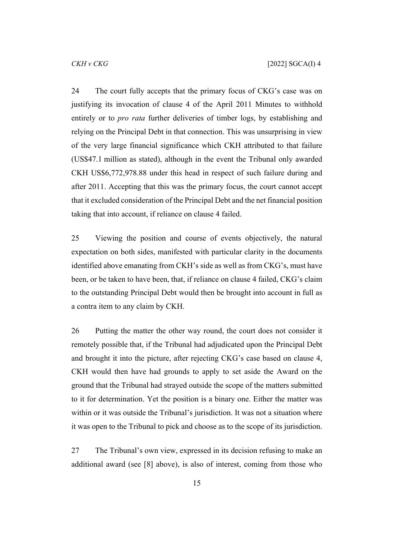24 The court fully accepts that the primary focus of CKG's case was on justifying its invocation of clause 4 of the April 2011 Minutes to withhold entirely or to *pro rata* further deliveries of timber logs, by establishing and relying on the Principal Debt in that connection. This was unsurprising in view of the very large financial significance which CKH attributed to that failure (US\$47.1 million as stated), although in the event the Tribunal only awarded CKH US\$6,772,978.88 under this head in respect of such failure during and after 2011. Accepting that this was the primary focus, the court cannot accept that it excluded consideration of the Principal Debt and the net financial position taking that into account, if reliance on clause 4 failed.

25 Viewing the position and course of events objectively, the natural expectation on both sides, manifested with particular clarity in the documents identified above emanating from CKH's side as well as from CKG's, must have been, or be taken to have been, that, if reliance on clause 4 failed, CKG's claim to the outstanding Principal Debt would then be brought into account in full as a contra item to any claim by CKH.

26 Putting the matter the other way round, the court does not consider it remotely possible that, if the Tribunal had adjudicated upon the Principal Debt and brought it into the picture, after rejecting CKG's case based on clause 4, CKH would then have had grounds to apply to set aside the Award on the ground that the Tribunal had strayed outside the scope of the matters submitted to it for determination. Yet the position is a binary one. Either the matter was within or it was outside the Tribunal's jurisdiction. It was not a situation where it was open to the Tribunal to pick and choose as to the scope of its jurisdiction.

27 The Tribunal's own view, expressed in its decision refusing to make an additional award (see [[8\]](#page-5-0) above), is also of interest, coming from those who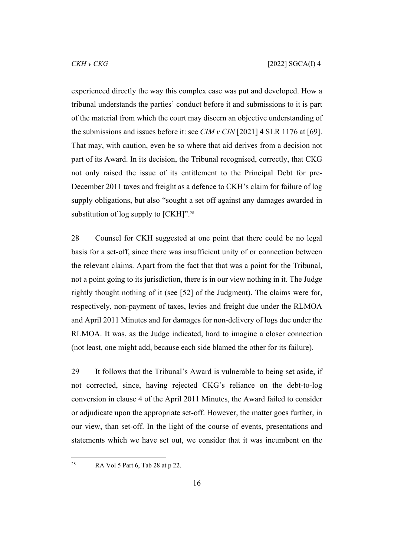experienced directly the way this complex case was put and developed. How a tribunal understands the parties' conduct before it and submissions to it is part of the material from which the court may discern an objective understanding of the submissions and issues before it: see *CIM v CIN* [2021] 4 SLR 1176 at [69]. That may, with caution, even be so where that aid derives from a decision not part of its Award. In its decision, the Tribunal recognised, correctly, that CKG not only raised the issue of its entitlement to the Principal Debt for pre-December 2011 taxes and freight as a defence to CKH's claim for failure of log supply obligations, but also "sought a set off against any damages awarded in substitution of log supply to [CKH]".<sup>28</sup>

28 Counsel for CKH suggested at one point that there could be no legal basis for a set-off, since there was insufficient unity of or connection between the relevant claims. Apart from the fact that that was a point for the Tribunal, not a point going to its jurisdiction, there is in our view nothing in it. The Judge rightly thought nothing of it (see [52] of the Judgment). The claims were for, respectively, non-payment of taxes, levies and freight due under the RLMOA and April 2011 Minutes and for damages for non-delivery of logs due under the RLMOA. It was, as the Judge indicated, hard to imagine a closer connection (not least, one might add, because each side blamed the other for its failure).

29 It follows that the Tribunal's Award is vulnerable to being set aside, if not corrected, since, having rejected CKG's reliance on the debt-to-log conversion in clause 4 of the April 2011 Minutes, the Award failed to consider or adjudicate upon the appropriate set-off. However, the matter goes further, in our view, than set-off. In the light of the course of events, presentations and statements which we have set out, we consider that it was incumbent on the

 $28$  RA Vol 5 Part 6, Tab 28 at p 22.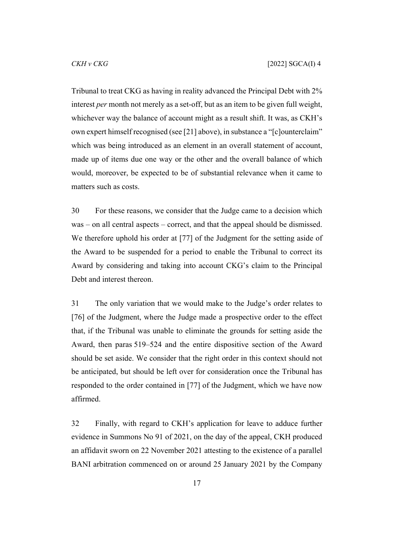Tribunal to treat CKG as having in reality advanced the Principal Debt with 2% interest *per* month not merely as a set-off, but as an item to be given full weight, whichever way the balance of account might as a result shift. It was, as CKH's own expert himself recognised (see [[21\]](#page-12-0) above), in substance a "[c]ounterclaim" which was being introduced as an element in an overall statement of account, made up of items due one way or the other and the overall balance of which would, moreover, be expected to be of substantial relevance when it came to matters such as costs.

30 For these reasons, we consider that the Judge came to a decision which was – on all central aspects – correct, and that the appeal should be dismissed. We therefore uphold his order at [77] of the Judgment for the setting aside of the Award to be suspended for a period to enable the Tribunal to correct its Award by considering and taking into account CKG's claim to the Principal Debt and interest thereon.

31 The only variation that we would make to the Judge's order relates to [76] of the Judgment, where the Judge made a prospective order to the effect that, if the Tribunal was unable to eliminate the grounds for setting aside the Award, then paras 519–524 and the entire dispositive section of the Award should be set aside. We consider that the right order in this context should not be anticipated, but should be left over for consideration once the Tribunal has responded to the order contained in [77] of the Judgment, which we have now affirmed.

<span id="page-17-0"></span>32 Finally, with regard to CKH's application for leave to adduce further evidence in Summons No 91 of 2021, on the day of the appeal, CKH produced an affidavit sworn on 22 November 2021 attesting to the existence of a parallel BANI arbitration commenced on or around 25 January 2021 by the Company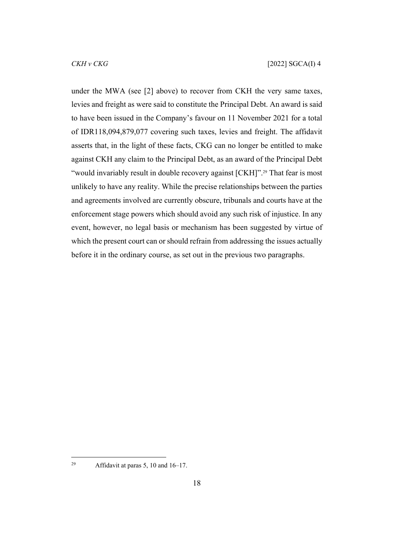under the MWA (see [[2\]](#page-2-0) above) to recover from CKH the very same taxes, levies and freight as were said to constitute the Principal Debt. An award is said to have been issued in the Company's favour on 11 November 2021 for a total of IDR118,094,879,077 covering such taxes, levies and freight. The affidavit asserts that, in the light of these facts, CKG can no longer be entitled to make against CKH any claim to the Principal Debt, as an award of the Principal Debt "would invariably result in double recovery against [CKH]".<sup>29</sup> That fear is most unlikely to have any reality. While the precise relationships between the parties and agreements involved are currently obscure, tribunals and courts have at the enforcement stage powers which should avoid any such risk of injustice. In any event, however, no legal basis or mechanism has been suggested by virtue of which the present court can or should refrain from addressing the issues actually before it in the ordinary course, as set out in the previous two paragraphs.

<sup>&</sup>lt;sup>29</sup> Affidavit at paras 5, 10 and  $16-17$ .